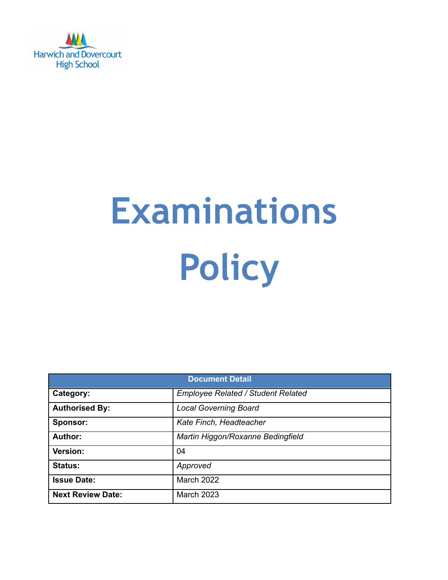

# **Examinations Policy**

| <b>Document Detail</b>   |                                           |  |  |  |
|--------------------------|-------------------------------------------|--|--|--|
| Category:                | <b>Employee Related / Student Related</b> |  |  |  |
| <b>Authorised By:</b>    | <b>Local Governing Board</b>              |  |  |  |
| Sponsor:                 | Kate Finch, Headteacher                   |  |  |  |
| <b>Author:</b>           | Martin Higgon/Roxanne Bedingfield         |  |  |  |
| Version:                 | 04                                        |  |  |  |
| <b>Status:</b>           | Approved                                  |  |  |  |
| <b>Issue Date:</b>       | March 2022                                |  |  |  |
| <b>Next Review Date:</b> | <b>March 2023</b>                         |  |  |  |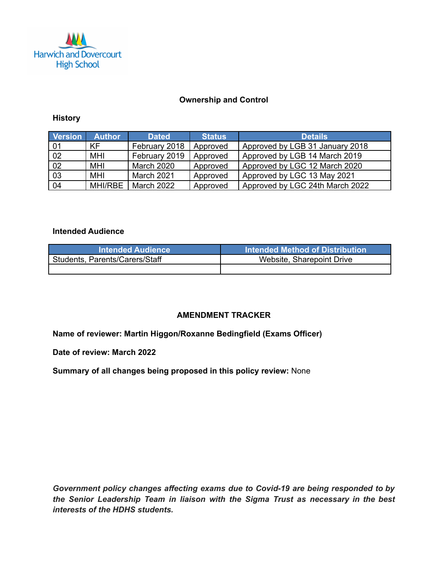

### **Ownership and Control**

### **History**

| Version         | <b>Author</b>  | <b>Dated</b>  | <b>Status</b> | <b>Details</b>                  |
|-----------------|----------------|---------------|---------------|---------------------------------|
| $\mid$ 01       | KF             | February 2018 | Approved      | Approved by LGB 31 January 2018 |
| 02              | MHI            | February 2019 | Approved      | Approved by LGB 14 March 2019   |
| $\overline{02}$ | MHI            | March 2020    | Approved      | Approved by LGC 12 March 2020   |
| 03              | MHI            | March 2021    | Approved      | Approved by LGC 13 May 2021     |
| 04              | <b>MHI/RBE</b> | March 2022    | Approved      | Approved by LGC 24th March 2022 |

# **Intended Audience**

| <b>Intended Audience</b>       | <b>ાntended Method of Distribution</b> \ |
|--------------------------------|------------------------------------------|
| Students, Parents/Carers/Staff | Website, Sharepoint Drive                |
|                                |                                          |

# **AMENDMENT TRACKER**

**Name of reviewer: Martin Higgon/Roxanne Bedingfield (Exams Officer)**

**Date of review: March 2022**

**Summary of all changes being proposed in this policy review:** None

*Government policy changes affecting exams due to Covid-19 are being responded to by the Senior Leadership Team in liaison with the Sigma Trust as necessary in the best interests of the HDHS students.*